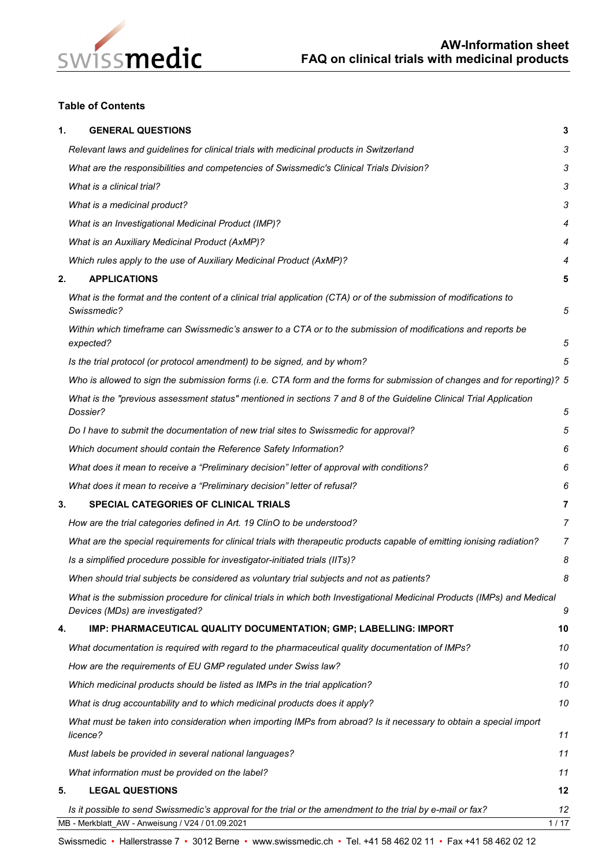

## **Table of Contents**

| 1. | <b>GENERAL QUESTIONS</b>                                                                                                                                    | 3              |  |  |
|----|-------------------------------------------------------------------------------------------------------------------------------------------------------------|----------------|--|--|
|    | Relevant laws and guidelines for clinical trials with medicinal products in Switzerland                                                                     | 3              |  |  |
|    | What are the responsibilities and competencies of Swissmedic's Clinical Trials Division?                                                                    | 3              |  |  |
|    | What is a clinical trial?                                                                                                                                   |                |  |  |
|    | What is a medicinal product?                                                                                                                                |                |  |  |
|    | What is an Investigational Medicinal Product (IMP)?                                                                                                         | 4              |  |  |
|    | What is an Auxiliary Medicinal Product (AxMP)?                                                                                                              | 4              |  |  |
|    | Which rules apply to the use of Auxiliary Medicinal Product (AxMP)?                                                                                         | 4              |  |  |
| 2. | <b>APPLICATIONS</b>                                                                                                                                         | 5              |  |  |
|    | What is the format and the content of a clinical trial application (CTA) or of the submission of modifications to<br>Swissmedic?                            | 5              |  |  |
|    | Within which timeframe can Swissmedic's answer to a CTA or to the submission of modifications and reports be<br>expected?                                   | 5              |  |  |
|    | Is the trial protocol (or protocol amendment) to be signed, and by whom?                                                                                    | 5              |  |  |
|    | Who is allowed to sign the submission forms (i.e. CTA form and the forms for submission of changes and for reporting)? 5                                    |                |  |  |
|    | What is the "previous assessment status" mentioned in sections 7 and 8 of the Guideline Clinical Trial Application<br>Dossier?                              | 5              |  |  |
|    | Do I have to submit the documentation of new trial sites to Swissmedic for approval?                                                                        | 5              |  |  |
|    | Which document should contain the Reference Safety Information?                                                                                             |                |  |  |
|    | What does it mean to receive a "Preliminary decision" letter of approval with conditions?                                                                   |                |  |  |
|    | What does it mean to receive a "Preliminary decision" letter of refusal?                                                                                    | 6              |  |  |
| 3. | SPECIAL CATEGORIES OF CLINICAL TRIALS                                                                                                                       | 7              |  |  |
|    | How are the trial categories defined in Art. 19 ClinO to be understood?                                                                                     | $\overline{7}$ |  |  |
|    | What are the special requirements for clinical trials with therapeutic products capable of emitting ionising radiation?                                     |                |  |  |
|    | Is a simplified procedure possible for investigator-initiated trials (IITs)?                                                                                |                |  |  |
|    | When should trial subjects be considered as voluntary trial subjects and not as patients?                                                                   | 8              |  |  |
|    | What is the submission procedure for clinical trials in which both Investigational Medicinal Products (IMPs) and Medical<br>Devices (MDs) are investigated? | 9              |  |  |
| 4. | IMP: PHARMACEUTICAL QUALITY DOCUMENTATION; GMP; LABELLING: IMPORT                                                                                           | 10             |  |  |
|    | What documentation is required with regard to the pharmaceutical quality documentation of IMPs?                                                             | 10             |  |  |
|    | How are the requirements of EU GMP regulated under Swiss law?                                                                                               | 10             |  |  |
|    | Which medicinal products should be listed as IMPs in the trial application?                                                                                 | 10             |  |  |
|    | What is drug accountability and to which medicinal products does it apply?                                                                                  | 10             |  |  |
|    | What must be taken into consideration when importing IMPs from abroad? Is it necessary to obtain a special import<br>licence?                               | 11             |  |  |
|    | Must labels be provided in several national languages?                                                                                                      | 11             |  |  |
|    | What information must be provided on the label?                                                                                                             | 11             |  |  |
| 5. | <b>LEGAL QUESTIONS</b>                                                                                                                                      | 12             |  |  |
|    | Is it possible to send Swissmedic's approval for the trial or the amendment to the trial by e-mail or fax?                                                  | 12             |  |  |
|    | MB - Merkblatt_AW - Anweisung / V24 / 01.09.2021                                                                                                            | 1/17           |  |  |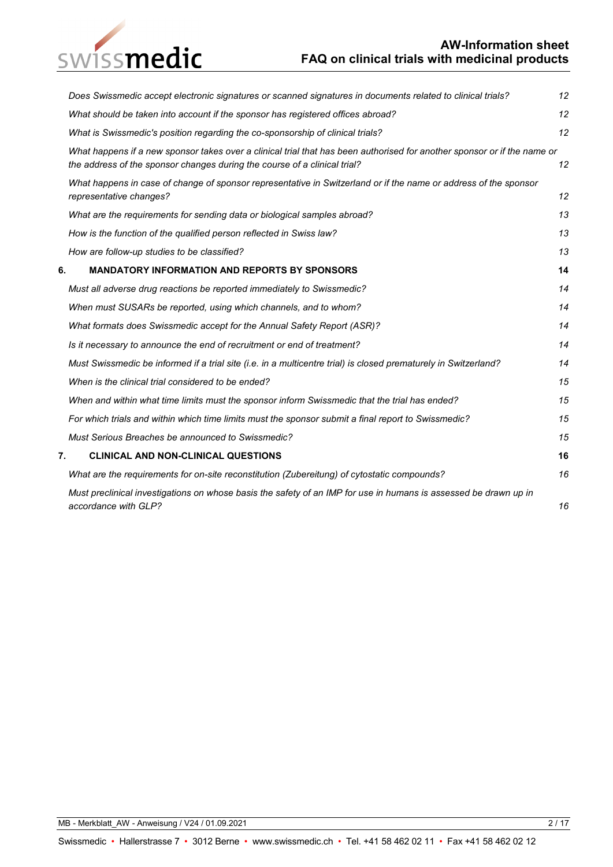# swissmedic

## **AW-Information sheet FAQ on clinical trials with medicinal products**

| Does Swissmedic accept electronic signatures or scanned signatures in documents related to clinical trials? |                                                                                                                                                                                                       |    |  |  |
|-------------------------------------------------------------------------------------------------------------|-------------------------------------------------------------------------------------------------------------------------------------------------------------------------------------------------------|----|--|--|
|                                                                                                             | What should be taken into account if the sponsor has registered offices abroad?                                                                                                                       | 12 |  |  |
|                                                                                                             | What is Swissmedic's position regarding the co-sponsorship of clinical trials?                                                                                                                        | 12 |  |  |
|                                                                                                             | What happens if a new sponsor takes over a clinical trial that has been authorised for another sponsor or if the name or<br>the address of the sponsor changes during the course of a clinical trial? | 12 |  |  |
|                                                                                                             | What happens in case of change of sponsor representative in Switzerland or if the name or address of the sponsor<br>representative changes?                                                           | 12 |  |  |
|                                                                                                             | What are the requirements for sending data or biological samples abroad?                                                                                                                              | 13 |  |  |
|                                                                                                             | How is the function of the qualified person reflected in Swiss law?                                                                                                                                   | 13 |  |  |
|                                                                                                             | How are follow-up studies to be classified?                                                                                                                                                           | 13 |  |  |
| 6.                                                                                                          | <b>MANDATORY INFORMATION AND REPORTS BY SPONSORS</b>                                                                                                                                                  | 14 |  |  |
|                                                                                                             | Must all adverse drug reactions be reported immediately to Swissmedic?                                                                                                                                | 14 |  |  |
|                                                                                                             | When must SUSARs be reported, using which channels, and to whom?                                                                                                                                      | 14 |  |  |
|                                                                                                             | What formats does Swissmedic accept for the Annual Safety Report (ASR)?                                                                                                                               | 14 |  |  |
|                                                                                                             | Is it necessary to announce the end of recruitment or end of treatment?                                                                                                                               | 14 |  |  |
|                                                                                                             | Must Swissmedic be informed if a trial site (i.e. in a multicentre trial) is closed prematurely in Switzerland?                                                                                       | 14 |  |  |
|                                                                                                             | When is the clinical trial considered to be ended?                                                                                                                                                    | 15 |  |  |
|                                                                                                             | When and within what time limits must the sponsor inform Swissmedic that the trial has ended?                                                                                                         | 15 |  |  |
|                                                                                                             | For which trials and within which time limits must the sponsor submit a final report to Swissmedic?                                                                                                   | 15 |  |  |
|                                                                                                             | Must Serious Breaches be announced to Swissmedic?                                                                                                                                                     | 15 |  |  |
| 7.                                                                                                          | <b>CLINICAL AND NON-CLINICAL QUESTIONS</b>                                                                                                                                                            | 16 |  |  |
|                                                                                                             | What are the requirements for on-site reconstitution (Zubereitung) of cytostatic compounds?                                                                                                           | 16 |  |  |
|                                                                                                             | Must preclinical investigations on whose basis the safety of an IMP for use in humans is assessed be drawn up in<br>accordance with GLP?                                                              | 16 |  |  |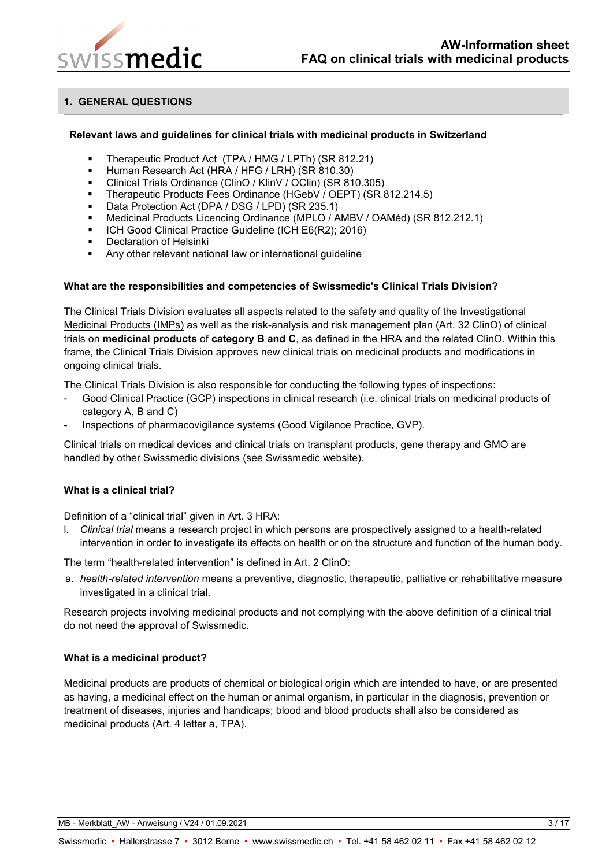

## <span id="page-2-0"></span>**1. GENERAL QUESTIONS**

#### <span id="page-2-1"></span>**Relevant laws and guidelines for clinical trials with medicinal products in Switzerland**

- Therapeutic Product Act (TPA / HMG / LPTh) (SR 812.21)
- Human Research Act (HRA / HFG / LRH) (SR 810.30)
- Clinical Trials Ordinance (ClinO / KlinV / OClin) (SR 810.305)
- Therapeutic Products Fees Ordinance (HGebV / OEPT) (SR 812.214.5)
- Data Protection Act (DPA / DSG / LPD) (SR 235.1)
- Medicinal Products Licencing Ordinance (MPLO / AMBV / OAMéd) (SR 812.212.1)
- ICH Good Clinical Practice Guideline (ICH E6(R2); 2016)
- Declaration of Helsinki
- Any other relevant national law or international guideline

#### <span id="page-2-2"></span>**What are the responsibilities and competencies of Swissmedic's Clinical Trials Division?**

The Clinical Trials Division evaluates all aspects related to the safety and quality of the Investigational Medicinal Products (IMPs) as well as the risk-analysis and risk management plan (Art. 32 ClinO) of clinical trials on **medicinal products** of **category B and C**, as defined in the HRA and the related ClinO. Within this frame, the Clinical Trials Division approves new clinical trials on medicinal products and modifications in ongoing clinical trials.

The Clinical Trials Division is also responsible for conducting the following types of inspections:

- Good Clinical Practice (GCP) inspections in clinical research (i.e. clinical trials on medicinal products of category A, B and C)
- Inspections of pharmacovigilance systems (Good Vigilance Practice, GVP).

Clinical trials on medical devices and clinical trials on transplant products, gene therapy and GMO are handled by other Swissmedic divisions (see Swissmedic website).

## <span id="page-2-3"></span>**What is a clinical trial?**

Definition of a "clinical trial" given in Art. 3 HRA:

l. *Clinical trial* means a research project in which persons are prospectively assigned to a health-related intervention in order to investigate its effects on health or on the structure and function of the human body.

The term "health-related intervention" is defined in Art. 2 ClinO:

a. *health-related intervention* means a preventive, diagnostic, therapeutic, palliative or rehabilitative measure investigated in a clinical trial.

Research projects involving medicinal products and not complying with the above definition of a clinical trial do not need the approval of Swissmedic.

## <span id="page-2-4"></span>**What is a medicinal product?**

Medicinal products are products of chemical or biological origin which are intended to have, or are presented as having, a medicinal effect on the human or animal organism, in particular in the diagnosis, prevention or treatment of diseases, injuries and handicaps; blood and blood products shall also be considered as medicinal products (Art. 4 letter a, TPA).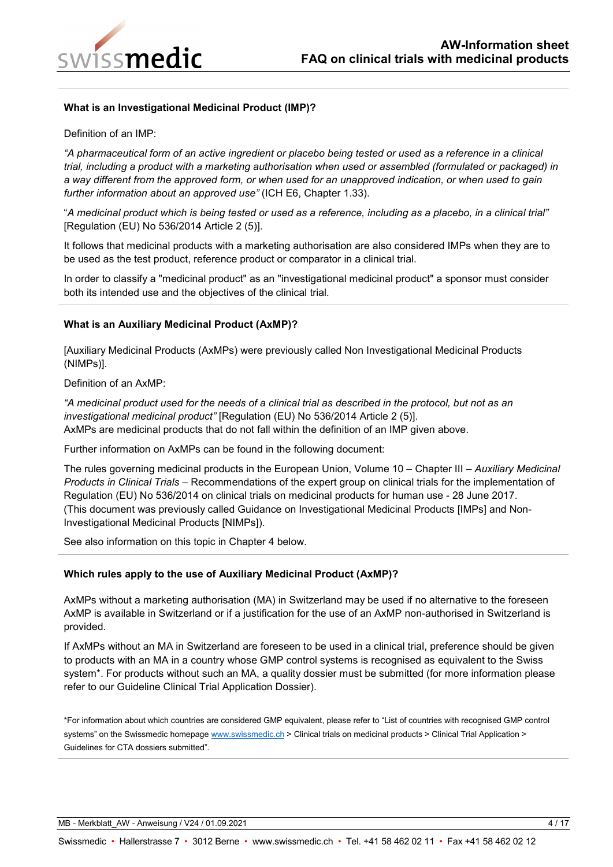

## <span id="page-3-0"></span>**What is an Investigational Medicinal Product (IMP)?**

Definition of an IMP:

*"A pharmaceutical form of an active ingredient or placebo being tested or used as a reference in a clinical trial, including a product with a marketing authorisation when used or assembled (formulated or packaged) in a way different from the approved form, or when used for an unapproved indication, or when used to gain further information about an approved use"* (ICH E6, Chapter 1.33).

"*A medicinal product which is being tested or used as a reference, including as a placebo, in a clinical trial"* [Regulation (EU) No 536/2014 Article 2 (5)].

It follows that medicinal products with a marketing authorisation are also considered IMPs when they are to be used as the test product, reference product or comparator in a clinical trial.

In order to classify a "medicinal product" as an "investigational medicinal product" a sponsor must consider both its intended use and the objectives of the clinical trial.

#### <span id="page-3-1"></span>**What is an Auxiliary Medicinal Product (AxMP)?**

[Auxiliary Medicinal Products (AxMPs) were previously called Non Investigational Medicinal Products (NIMPs)].

Definition of an AxMP:

*"A medicinal product used for the needs of a clinical trial as described in the protocol, but not as an investigational medicinal product"* [Regulation (EU) No 536/2014 Article 2 (5)]. AxMPs are medicinal products that do not fall within the definition of an IMP given above.

Further information on AxMPs can be found in the following document:

The rules governing medicinal products in the European Union, Volume 10 – Chapter III – *Auxiliary Medicinal Products in Clinical Trials* – Recommendations of the expert group on clinical trials for the implementation of Regulation (EU) No 536/2014 on clinical trials on medicinal products for human use - 28 June 2017. (This document was previously called Guidance on Investigational Medicinal Products [IMPs] and Non-Investigational Medicinal Products [NIMPs]).

See also information on this topic in Chapter 4 below.

## <span id="page-3-2"></span>**Which rules apply to the use of Auxiliary Medicinal Product (AxMP)?**

AxMPs without a marketing authorisation (MA) in Switzerland may be used if no alternative to the foreseen AxMP is available in Switzerland or if a justification for the use of an AxMP non-authorised in Switzerland is provided.

If AxMPs without an MA in Switzerland are foreseen to be used in a clinical trial, preference should be given to products with an MA in a country whose GMP control systems is recognised as equivalent to the Swiss system\*. For products without such an MA, a quality dossier must be submitted (for more information please refer to our Guideline Clinical Trial Application Dossier).

\*For information about which countries are considered GMP equivalent, please refer to "List of countries with recognised GMP control systems" on the Swissmedic homepage [www.swissmedic.ch](http://www.swissmedic.ch/) > Clinical trials on medicinal products > Clinical Trial Application > Guidelines for CTA dossiers submitted".

MB - Merkblatt AW - Anweisung / V24 / 01.09.2021 4 / 17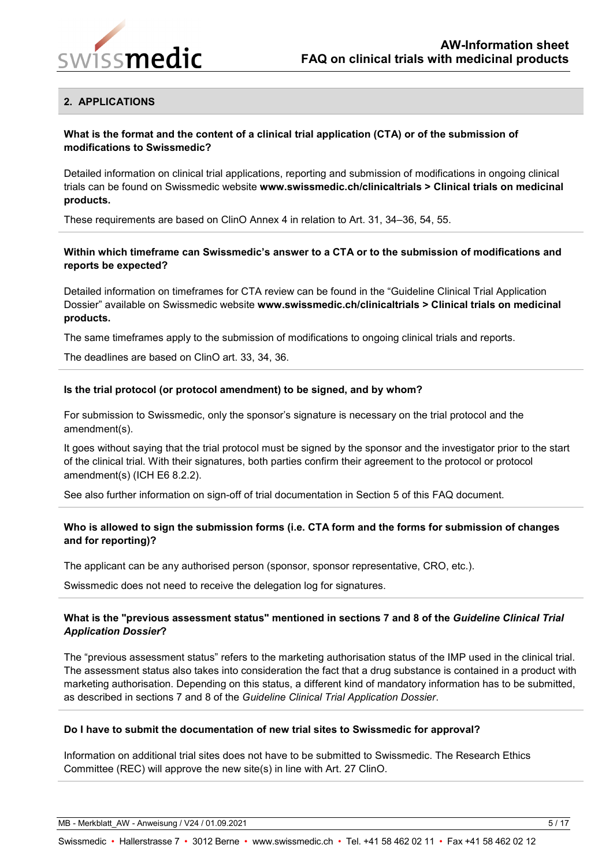

## <span id="page-4-0"></span>**2. APPLICATIONS**

## <span id="page-4-1"></span>**What is the format and the content of a clinical trial application (CTA) or of the submission of modifications to Swissmedic?**

Detailed information on clinical trial applications, reporting and submission of modifications in ongoing clinical trials can be found on Swissmedic website **www.swissmedic.ch/clinicaltrials > Clinical trials on medicinal products.**

These requirements are based on ClinO Annex 4 in relation to Art. 31, 34–36, 54, 55.

## <span id="page-4-2"></span>**Within which timeframe can Swissmedic's answer to a CTA or to the submission of modifications and reports be expected?**

Detailed information on timeframes for CTA review can be found in the "Guideline Clinical Trial Application Dossier" available on Swissmedic website **www.swissmedic.ch/clinicaltrials > Clinical trials on medicinal products.**

The same timeframes apply to the submission of modifications to ongoing clinical trials and reports.

The deadlines are based on ClinO art. 33, 34, 36.

#### <span id="page-4-3"></span>**Is the trial protocol (or protocol amendment) to be signed, and by whom?**

For submission to Swissmedic, only the sponsor's signature is necessary on the trial protocol and the amendment(s).

It goes without saying that the trial protocol must be signed by the sponsor and the investigator prior to the start of the clinical trial. With their signatures, both parties confirm their agreement to the protocol or protocol amendment(s) (ICH E6 8.2.2).

See also further information on sign-off of trial documentation in Section 5 of this FAQ document.

## <span id="page-4-4"></span>**Who is allowed to sign the submission forms (i.e. CTA form and the forms for submission of changes and for reporting)?**

The applicant can be any authorised person (sponsor, sponsor representative, CRO, etc.).

Swissmedic does not need to receive the delegation log for signatures.

## <span id="page-4-5"></span>**What is the "previous assessment status" mentioned in sections 7 and 8 of the** *Guideline Clinical Trial Application Dossier***?**

The "previous assessment status" refers to the marketing authorisation status of the IMP used in the clinical trial. The assessment status also takes into consideration the fact that a drug substance is contained in a product with marketing authorisation. Depending on this status, a different kind of mandatory information has to be submitted, as described in sections 7 and 8 of the *Guideline Clinical Trial Application Dossier*.

#### <span id="page-4-6"></span>**Do I have to submit the documentation of new trial sites to Swissmedic for approval?**

Information on additional trial sites does not have to be submitted to Swissmedic. The Research Ethics Committee (REC) will approve the new site(s) in line with Art. 27 ClinO.

MB - Merkblatt AW - Anweisung / V24 / 01.09.2021 5 / 17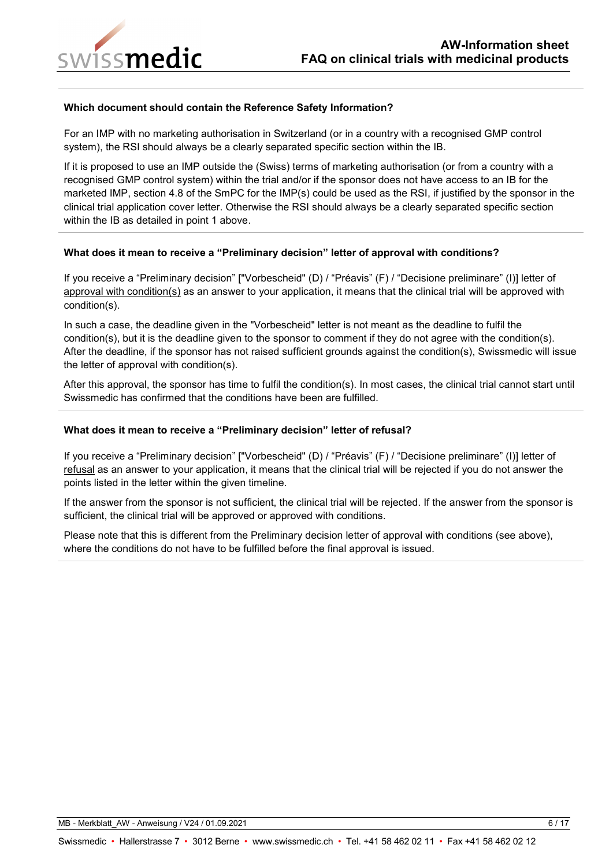

#### <span id="page-5-0"></span>**Which document should contain the Reference Safety Information?**

For an IMP with no marketing authorisation in Switzerland (or in a country with a recognised GMP control system), the RSI should always be a clearly separated specific section within the IB.

If it is proposed to use an IMP outside the (Swiss) terms of marketing authorisation (or from a country with a recognised GMP control system) within the trial and/or if the sponsor does not have access to an IB for the marketed IMP, section 4.8 of the SmPC for the IMP(s) could be used as the RSI, if justified by the sponsor in the clinical trial application cover letter. Otherwise the RSI should always be a clearly separated specific section within the IB as detailed in point 1 above.

#### <span id="page-5-1"></span>**What does it mean to receive a "Preliminary decision" letter of approval with conditions?**

If you receive a "Preliminary decision" ["Vorbescheid" (D) / "Préavis" (F) / "Decisione preliminare" (I)] letter of approval with condition(s) as an answer to your application, it means that the clinical trial will be approved with condition(s).

In such a case, the deadline given in the "Vorbescheid" letter is not meant as the deadline to fulfil the condition(s), but it is the deadline given to the sponsor to comment if they do not agree with the condition(s). After the deadline, if the sponsor has not raised sufficient grounds against the condition(s), Swissmedic will issue the letter of approval with condition(s).

After this approval, the sponsor has time to fulfil the condition(s). In most cases, the clinical trial cannot start until Swissmedic has confirmed that the conditions have been are fulfilled.

#### <span id="page-5-2"></span>**What does it mean to receive a "Preliminary decision" letter of refusal?**

If you receive a "Preliminary decision" ["Vorbescheid" (D) / "Préavis" (F) / "Decisione preliminare" (I)] letter of refusal as an answer to your application, it means that the clinical trial will be rejected if you do not answer the points listed in the letter within the given timeline.

If the answer from the sponsor is not sufficient, the clinical trial will be rejected. If the answer from the sponsor is sufficient, the clinical trial will be approved or approved with conditions.

Please note that this is different from the Preliminary decision letter of approval with conditions (see above), where the conditions do not have to be fulfilled before the final approval is issued.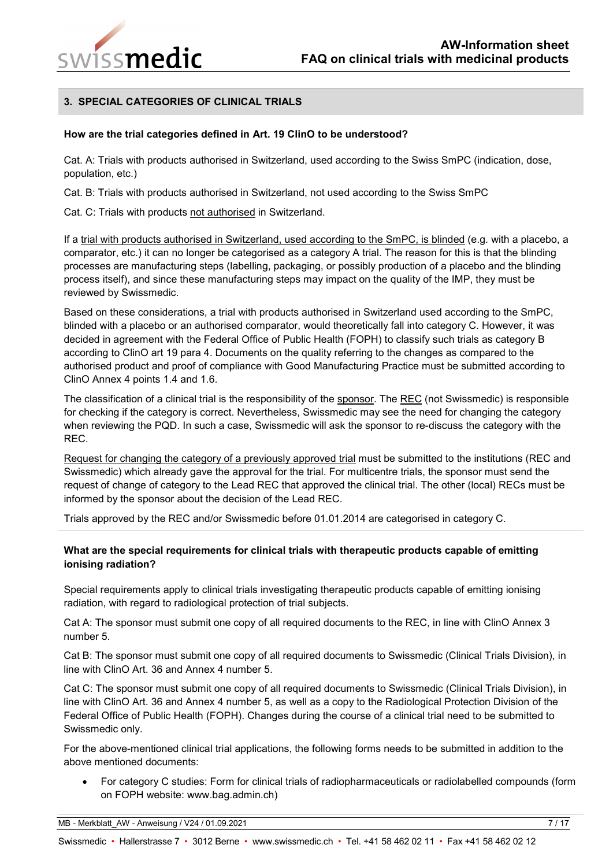

## <span id="page-6-0"></span>**3. SPECIAL CATEGORIES OF CLINICAL TRIALS**

#### <span id="page-6-1"></span>**How are the trial categories defined in Art. 19 ClinO to be understood?**

Cat. A: Trials with products authorised in Switzerland, used according to the Swiss SmPC (indication, dose, population, etc.)

Cat. B: Trials with products authorised in Switzerland, not used according to the Swiss SmPC

Cat. C: Trials with products not authorised in Switzerland.

If a trial with products authorised in Switzerland, used according to the SmPC, is blinded (e.g. with a placebo, a comparator, etc.) it can no longer be categorised as a category A trial. The reason for this is that the blinding processes are manufacturing steps (labelling, packaging, or possibly production of a placebo and the blinding process itself), and since these manufacturing steps may impact on the quality of the IMP, they must be reviewed by Swissmedic.

Based on these considerations, a trial with products authorised in Switzerland used according to the SmPC, blinded with a placebo or an authorised comparator, would theoretically fall into category C. However, it was decided in agreement with the Federal Office of Public Health (FOPH) to classify such trials as category B according to ClinO art 19 para 4. Documents on the quality referring to the changes as compared to the authorised product and proof of compliance with Good Manufacturing Practice must be submitted according to ClinO Annex 4 points 1.4 and 1.6.

The classification of a clinical trial is the responsibility of the sponsor. The REC (not Swissmedic) is responsible for checking if the category is correct. Nevertheless, Swissmedic may see the need for changing the category when reviewing the PQD. In such a case, Swissmedic will ask the sponsor to re-discuss the category with the REC.

Request for changing the category of a previously approved trial must be submitted to the institutions (REC and Swissmedic) which already gave the approval for the trial. For multicentre trials, the sponsor must send the request of change of category to the Lead REC that approved the clinical trial. The other (local) RECs must be informed by the sponsor about the decision of the Lead REC.

Trials approved by the REC and/or Swissmedic before 01.01.2014 are categorised in category C.

## <span id="page-6-2"></span>**What are the special requirements for clinical trials with therapeutic products capable of emitting ionising radiation?**

Special requirements apply to clinical trials investigating therapeutic products capable of emitting ionising radiation, with regard to radiological protection of trial subjects.

Cat A: The sponsor must submit one copy of all required documents to the REC, in line with ClinO Annex 3 number 5.

Cat B: The sponsor must submit one copy of all required documents to Swissmedic (Clinical Trials Division), in line with ClinO Art. 36 and Annex 4 number 5.

Cat C: The sponsor must submit one copy of all required documents to Swissmedic (Clinical Trials Division), in line with ClinO Art. 36 and Annex 4 number 5, as well as a copy to the Radiological Protection Division of the Federal Office of Public Health (FOPH). Changes during the course of a clinical trial need to be submitted to Swissmedic only.

For the above-mentioned clinical trial applications, the following forms needs to be submitted in addition to the above mentioned documents:

• For category C studies: Form for clinical trials of radiopharmaceuticals or radiolabelled compounds (form on FOPH website: www.bag.admin.ch)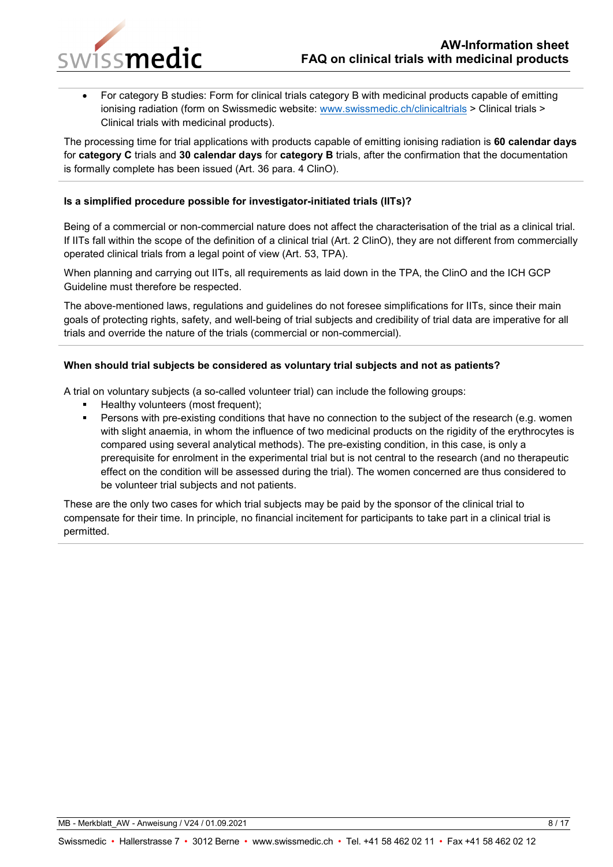

• For category B studies: Form for clinical trials category B with medicinal products capable of emitting ionising radiation (form on Swissmedic website: [www.swissmedic.ch/clinicaltrials](http://www.swissmedic.ch/clinicaltrials) > Clinical trials > Clinical trials with medicinal products).

The processing time for trial applications with products capable of emitting ionising radiation is **60 calendar days** for **category C** trials and **30 calendar days** for **category B** trials, after the confirmation that the documentation is formally complete has been issued (Art. 36 para. 4 ClinO).

## <span id="page-7-0"></span>**Is a simplified procedure possible for investigator-initiated trials (IITs)?**

Being of a commercial or non-commercial nature does not affect the characterisation of the trial as a clinical trial. If IITs fall within the scope of the definition of a clinical trial (Art. 2 ClinO), they are not different from commercially operated clinical trials from a legal point of view (Art. 53, TPA).

When planning and carrying out IITs, all requirements as laid down in the TPA, the ClinO and the ICH GCP Guideline must therefore be respected.

The above-mentioned laws, regulations and guidelines do not foresee simplifications for IITs, since their main goals of protecting rights, safety, and well-being of trial subjects and credibility of trial data are imperative for all trials and override the nature of the trials (commercial or non-commercial).

## <span id="page-7-1"></span>**When should trial subjects be considered as voluntary trial subjects and not as patients?**

A trial on voluntary subjects (a so-called volunteer trial) can include the following groups:

- Healthy volunteers (most frequent);
- Persons with pre-existing conditions that have no connection to the subject of the research (e.g. women with slight anaemia, in whom the influence of two medicinal products on the rigidity of the erythrocytes is compared using several analytical methods). The pre-existing condition, in this case, is only a prerequisite for enrolment in the experimental trial but is not central to the research (and no therapeutic effect on the condition will be assessed during the trial). The women concerned are thus considered to be volunteer trial subjects and not patients.

These are the only two cases for which trial subjects may be paid by the sponsor of the clinical trial to compensate for their time. In principle, no financial incitement for participants to take part in a clinical trial is permitted.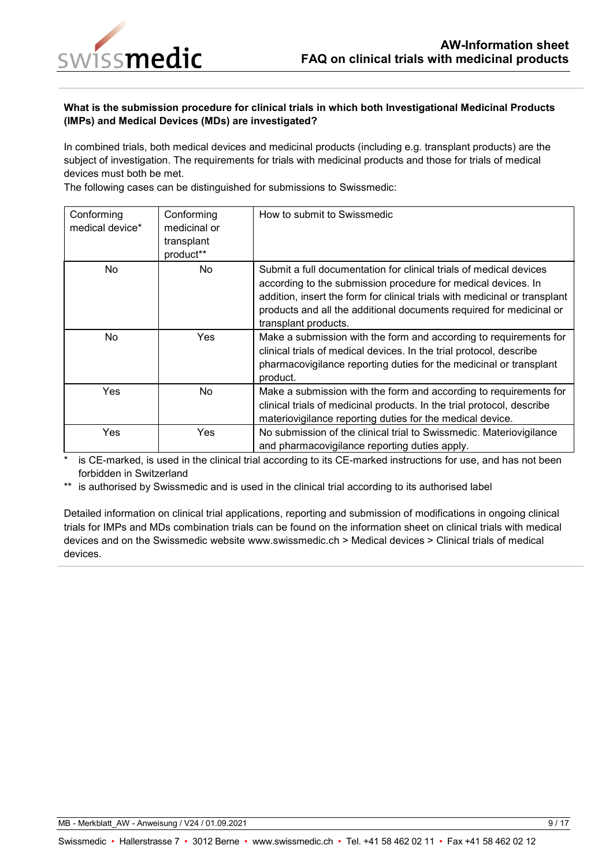

## <span id="page-8-0"></span>**What is the submission procedure for clinical trials in which both Investigational Medicinal Products (IMPs) and Medical Devices (MDs) are investigated?**

In combined trials, both medical devices and medicinal products (including e.g. transplant products) are the subject of investigation. The requirements for trials with medicinal products and those for trials of medical devices must both be met.

The following cases can be distinguished for submissions to Swissmedic:

| Conforming<br>medical device* | Conforming<br>medicinal or<br>transplant<br>product** | How to submit to Swissmedic                                                                                                                                                                                                                                                                                      |
|-------------------------------|-------------------------------------------------------|------------------------------------------------------------------------------------------------------------------------------------------------------------------------------------------------------------------------------------------------------------------------------------------------------------------|
| <b>No</b>                     | <b>No</b>                                             | Submit a full documentation for clinical trials of medical devices<br>according to the submission procedure for medical devices. In<br>addition, insert the form for clinical trials with medicinal or transplant<br>products and all the additional documents required for medicinal or<br>transplant products. |
| No                            | Yes                                                   | Make a submission with the form and according to requirements for<br>clinical trials of medical devices. In the trial protocol, describe<br>pharmacovigilance reporting duties for the medicinal or transplant<br>product.                                                                                       |
| Yes                           | No                                                    | Make a submission with the form and according to requirements for<br>clinical trials of medicinal products. In the trial protocol, describe<br>materiovigilance reporting duties for the medical device.                                                                                                         |
| Yes                           | Yes                                                   | No submission of the clinical trial to Swissmedic. Materiovigilance<br>and pharmacovigilance reporting duties apply.                                                                                                                                                                                             |

is CE-marked, is used in the clinical trial according to its CE-marked instructions for use, and has not been forbidden in Switzerland

\*\* is authorised by Swissmedic and is used in the clinical trial according to its authorised label

Detailed information on clinical trial applications, reporting and submission of modifications in ongoing clinical trials for IMPs and MDs combination trials can be found on the information sheet on clinical trials with medical devices and on the Swissmedic website www.swissmedic.ch > Medical devices > Clinical trials of medical devices.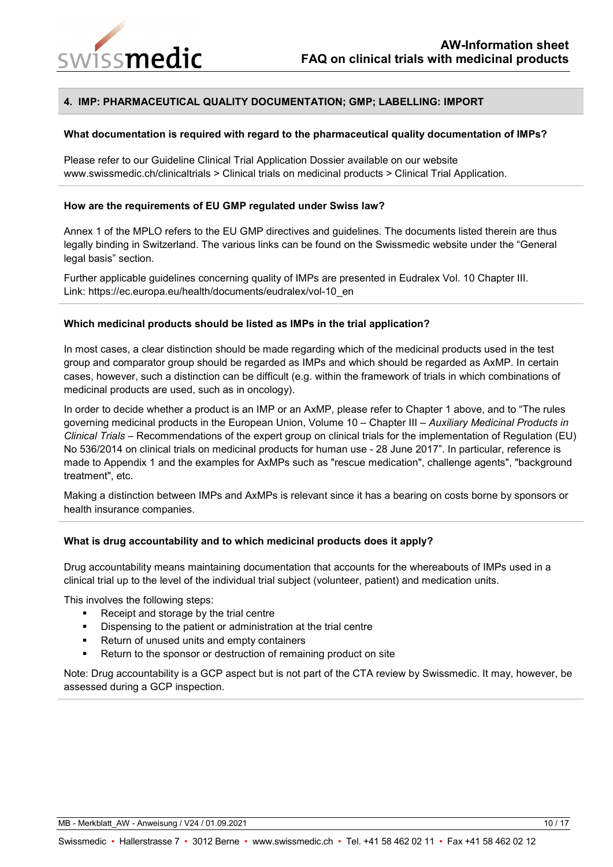

## <span id="page-9-0"></span>**4. IMP: PHARMACEUTICAL QUALITY DOCUMENTATION; GMP; LABELLING: IMPORT**

#### <span id="page-9-1"></span>**What documentation is required with regard to the pharmaceutical quality documentation of IMPs?**

Please refer to our Guideline Clinical Trial Application Dossier available on our website www.swissmedic.ch/clinicaltrials > Clinical trials on medicinal products > Clinical Trial Application.

#### <span id="page-9-2"></span>**How are the requirements of EU GMP regulated under Swiss law?**

Annex 1 of the MPLO refers to the EU GMP directives and guidelines. The documents listed therein are thus legally binding in Switzerland. The various links can be found on the Swissmedic website under the "General legal basis" section.

Further applicable guidelines concerning quality of IMPs are presented in Eudralex Vol. 10 Chapter III. Link: https://ec.europa.eu/health/documents/eudralex/vol-10\_en

#### <span id="page-9-3"></span>**Which medicinal products should be listed as IMPs in the trial application?**

In most cases, a clear distinction should be made regarding which of the medicinal products used in the test group and comparator group should be regarded as IMPs and which should be regarded as AxMP. In certain cases, however, such a distinction can be difficult (e.g. within the framework of trials in which combinations of medicinal products are used, such as in oncology).

In order to decide whether a product is an IMP or an AxMP, please refer to Chapter 1 above, and to "The rules governing medicinal products in the European Union, Volume 10 – Chapter III – *Auxiliary Medicinal Products in Clinical Trials* – Recommendations of the expert group on clinical trials for the implementation of Regulation (EU) No 536/2014 on clinical trials on medicinal products for human use - 28 June 2017". In particular, reference is made to Appendix 1 and the examples for AxMPs such as "rescue medication", challenge agents", "background treatment", etc.

Making a distinction between IMPs and AxMPs is relevant since it has a bearing on costs borne by sponsors or health insurance companies.

## <span id="page-9-4"></span>**What is drug accountability and to which medicinal products does it apply?**

Drug accountability means maintaining documentation that accounts for the whereabouts of IMPs used in a clinical trial up to the level of the individual trial subject (volunteer, patient) and medication units.

This involves the following steps:

- Receipt and storage by the trial centre
- Dispensing to the patient or administration at the trial centre
- Return of unused units and empty containers
- Return to the sponsor or destruction of remaining product on site

Note: Drug accountability is a GCP aspect but is not part of the CTA review by Swissmedic. It may, however, be assessed during a GCP inspection.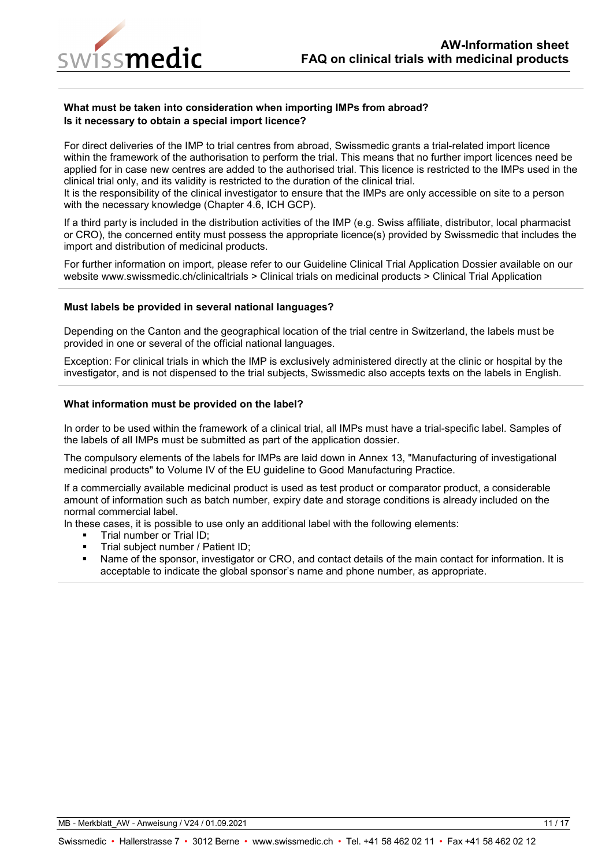

## <span id="page-10-0"></span>**What must be taken into consideration when importing IMPs from abroad? Is it necessary to obtain a special import licence?**

For direct deliveries of the IMP to trial centres from abroad, Swissmedic grants a trial-related import licence within the framework of the authorisation to perform the trial. This means that no further import licences need be applied for in case new centres are added to the authorised trial. This licence is restricted to the IMPs used in the clinical trial only, and its validity is restricted to the duration of the clinical trial.

It is the responsibility of the clinical investigator to ensure that the IMPs are only accessible on site to a person with the necessary knowledge (Chapter 4.6, ICH GCP).

If a third party is included in the distribution activities of the IMP (e.g. Swiss affiliate, distributor, local pharmacist or CRO), the concerned entity must possess the appropriate licence(s) provided by Swissmedic that includes the import and distribution of medicinal products.

For further information on import, please refer to our Guideline Clinical Trial Application Dossier available on our website www.swissmedic.ch/clinicaltrials > Clinical trials on medicinal products > Clinical Trial Application

#### <span id="page-10-1"></span>**Must labels be provided in several national languages?**

Depending on the Canton and the geographical location of the trial centre in Switzerland, the labels must be provided in one or several of the official national languages.

Exception: For clinical trials in which the IMP is exclusively administered directly at the clinic or hospital by the investigator, and is not dispensed to the trial subjects, Swissmedic also accepts texts on the labels in English.

#### <span id="page-10-2"></span>**What information must be provided on the label?**

In order to be used within the framework of a clinical trial, all IMPs must have a trial-specific label. Samples of the labels of all IMPs must be submitted as part of the application dossier.

The compulsory elements of the labels for IMPs are laid down in Annex 13, "Manufacturing of investigational medicinal products" to Volume IV of the EU guideline to Good Manufacturing Practice.

If a commercially available medicinal product is used as test product or comparator product, a considerable amount of information such as batch number, expiry date and storage conditions is already included on the normal commercial label.

In these cases, it is possible to use only an additional label with the following elements:

- Trial number or Trial ID;
- Trial subject number / Patient ID;
- Name of the sponsor, investigator or CRO, and contact details of the main contact for information. It is acceptable to indicate the global sponsor's name and phone number, as appropriate.

MB - Merkblatt\_AW - Anweisung / V24 / 01.09.2021 11 / 17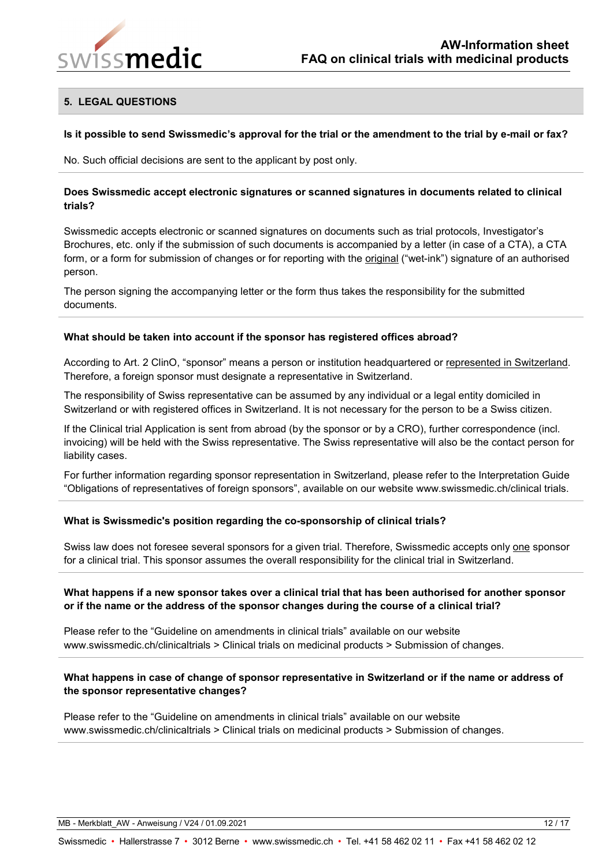

## <span id="page-11-0"></span>**5. LEGAL QUESTIONS**

#### <span id="page-11-1"></span>**Is it possible to send Swissmedic's approval for the trial or the amendment to the trial by e-mail or fax?**

No. Such official decisions are sent to the applicant by post only.

#### <span id="page-11-2"></span>**Does Swissmedic accept electronic signatures or scanned signatures in documents related to clinical trials?**

Swissmedic accepts electronic or scanned signatures on documents such as trial protocols, Investigator's Brochures, etc. only if the submission of such documents is accompanied by a letter (in case of a CTA), a CTA form, or a form for submission of changes or for reporting with the original ("wet-ink") signature of an authorised person.

The person signing the accompanying letter or the form thus takes the responsibility for the submitted documents.

#### <span id="page-11-3"></span>**What should be taken into account if the sponsor has registered offices abroad?**

According to Art. 2 ClinO, "sponsor" means a person or institution headquartered or represented in Switzerland. Therefore, a foreign sponsor must designate a representative in Switzerland.

The responsibility of Swiss representative can be assumed by any individual or a legal entity domiciled in Switzerland or with registered offices in Switzerland. It is not necessary for the person to be a Swiss citizen.

If the Clinical trial Application is sent from abroad (by the sponsor or by a CRO), further correspondence (incl. invoicing) will be held with the Swiss representative. The Swiss representative will also be the contact person for liability cases.

For further information regarding sponsor representation in Switzerland, please refer to the Interpretation Guide "Obligations of representatives of foreign sponsors", available on our website www.swissmedic.ch/clinical trials.

#### <span id="page-11-4"></span>**What is Swissmedic's position regarding the co-sponsorship of clinical trials?**

Swiss law does not foresee several sponsors for a given trial. Therefore, Swissmedic accepts only one sponsor for a clinical trial. This sponsor assumes the overall responsibility for the clinical trial in Switzerland.

## <span id="page-11-5"></span>**What happens if a new sponsor takes over a clinical trial that has been authorised for another sponsor or if the name or the address of the sponsor changes during the course of a clinical trial?**

Please refer to the "Guideline on amendments in clinical trials" available on our website www.swissmedic.ch/clinicaltrials > Clinical trials on medicinal products > Submission of changes.

## <span id="page-11-6"></span>**What happens in case of change of sponsor representative in Switzerland or if the name or address of the sponsor representative changes?**

Please refer to the "Guideline on amendments in clinical trials" available on our website www.swissmedic.ch/clinicaltrials > Clinical trials on medicinal products > Submission of changes.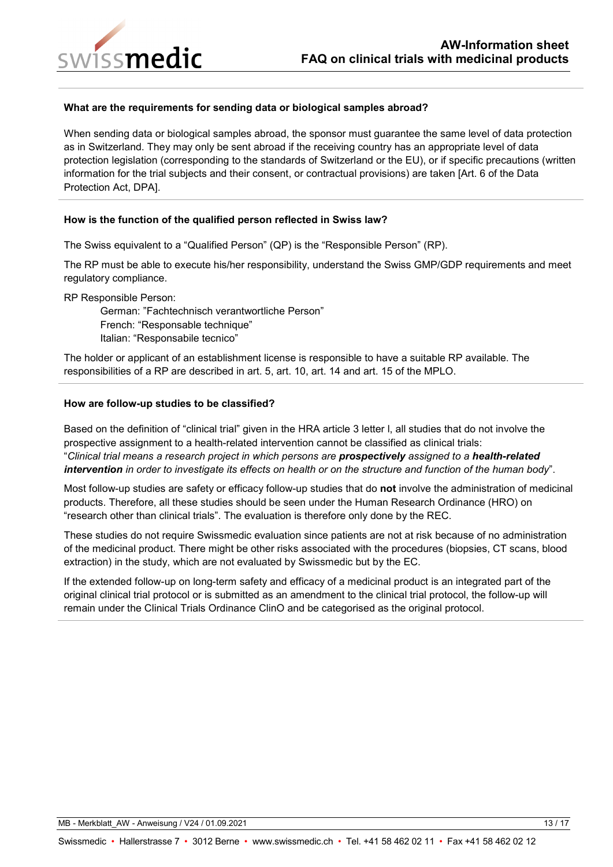

#### <span id="page-12-0"></span>**What are the requirements for sending data or biological samples abroad?**

When sending data or biological samples abroad, the sponsor must guarantee the same level of data protection as in Switzerland. They may only be sent abroad if the receiving country has an appropriate level of data protection legislation (corresponding to the standards of Switzerland or the EU), or if specific precautions (written information for the trial subjects and their consent, or contractual provisions) are taken [Art. 6 of the Data Protection Act, DPA].

#### <span id="page-12-1"></span>**How is the function of the qualified person reflected in Swiss law?**

The Swiss equivalent to a "Qualified Person" (QP) is the "Responsible Person" (RP).

The RP must be able to execute his/her responsibility, understand the Swiss GMP/GDP requirements and meet regulatory compliance.

RP Responsible Person:

German: "Fachtechnisch verantwortliche Person" French: "Responsable technique" Italian: "Responsabile tecnico"

The holder or applicant of an establishment license is responsible to have a suitable RP available. The responsibilities of a RP are described in art. 5, art. 10, art. 14 and art. 15 of the MPLO.

#### <span id="page-12-2"></span>**How are follow-up studies to be classified?**

Based on the definition of "clinical trial" given in the HRA article 3 letter l, all studies that do not involve the prospective assignment to a health-related intervention cannot be classified as clinical trials: "*Clinical trial means a research project in which persons are prospectively assigned to a health-related intervention in order to investigate its effects on health or on the structure and function of the human body*".

Most follow-up studies are safety or efficacy follow-up studies that do **not** involve the administration of medicinal products. Therefore, all these studies should be seen under the Human Research Ordinance (HRO) on "research other than clinical trials". The evaluation is therefore only done by the REC.

These studies do not require Swissmedic evaluation since patients are not at risk because of no administration of the medicinal product. There might be other risks associated with the procedures (biopsies, CT scans, blood extraction) in the study, which are not evaluated by Swissmedic but by the EC.

If the extended follow-up on long-term safety and efficacy of a medicinal product is an integrated part of the original clinical trial protocol or is submitted as an amendment to the clinical trial protocol, the follow-up will remain under the Clinical Trials Ordinance ClinO and be categorised as the original protocol.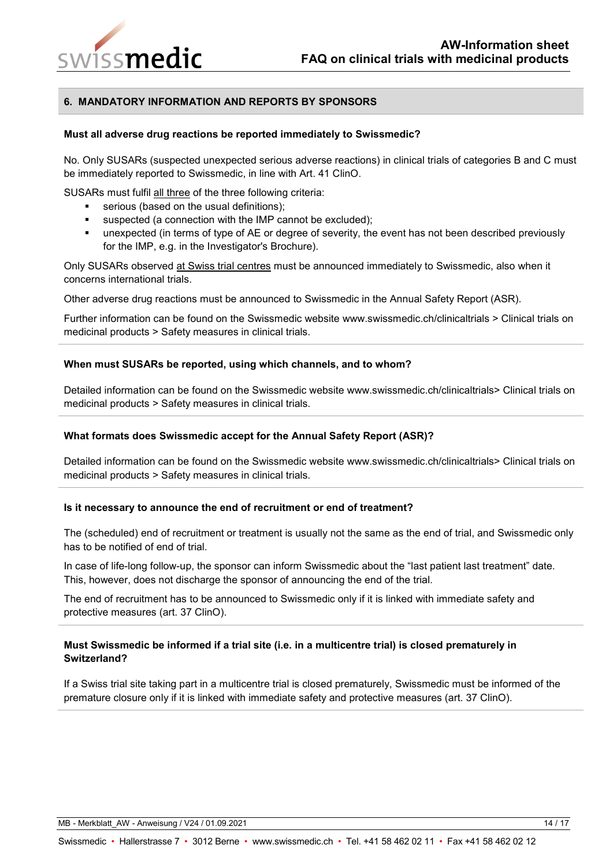

## <span id="page-13-0"></span>**6. MANDATORY INFORMATION AND REPORTS BY SPONSORS**

#### <span id="page-13-1"></span>**Must all adverse drug reactions be reported immediately to Swissmedic?**

No. Only SUSARs (suspected unexpected serious adverse reactions) in clinical trials of categories B and C must be immediately reported to Swissmedic, in line with Art. 41 ClinO.

SUSARs must fulfil all three of the three following criteria:

- serious (based on the usual definitions);
- suspected (a connection with the IMP cannot be excluded);
- unexpected (in terms of type of AE or degree of severity, the event has not been described previously for the IMP, e.g. in the Investigator's Brochure).

Only SUSARs observed at Swiss trial centres must be announced immediately to Swissmedic, also when it concerns international trials.

Other adverse drug reactions must be announced to Swissmedic in the Annual Safety Report (ASR).

Further information can be found on the Swissmedic website www.swissmedic.ch/clinicaltrials > Clinical trials on medicinal products > Safety measures in clinical trials.

#### <span id="page-13-2"></span>**When must SUSARs be reported, using which channels, and to whom?**

Detailed information can be found on the Swissmedic website www.swissmedic.ch/clinicaltrials> Clinical trials on medicinal products > Safety measures in clinical trials.

#### <span id="page-13-3"></span>**What formats does Swissmedic accept for the Annual Safety Report (ASR)?**

Detailed information can be found on the Swissmedic website www.swissmedic.ch/clinicaltrials> Clinical trials on medicinal products > Safety measures in clinical trials.

#### <span id="page-13-4"></span>**Is it necessary to announce the end of recruitment or end of treatment?**

The (scheduled) end of recruitment or treatment is usually not the same as the end of trial, and Swissmedic only has to be notified of end of trial.

In case of life-long follow-up, the sponsor can inform Swissmedic about the "last patient last treatment" date. This, however, does not discharge the sponsor of announcing the end of the trial.

The end of recruitment has to be announced to Swissmedic only if it is linked with immediate safety and protective measures (art. 37 ClinO).

## <span id="page-13-5"></span>**Must Swissmedic be informed if a trial site (i.e. in a multicentre trial) is closed prematurely in Switzerland?**

If a Swiss trial site taking part in a multicentre trial is closed prematurely, Swissmedic must be informed of the premature closure only if it is linked with immediate safety and protective measures (art. 37 ClinO).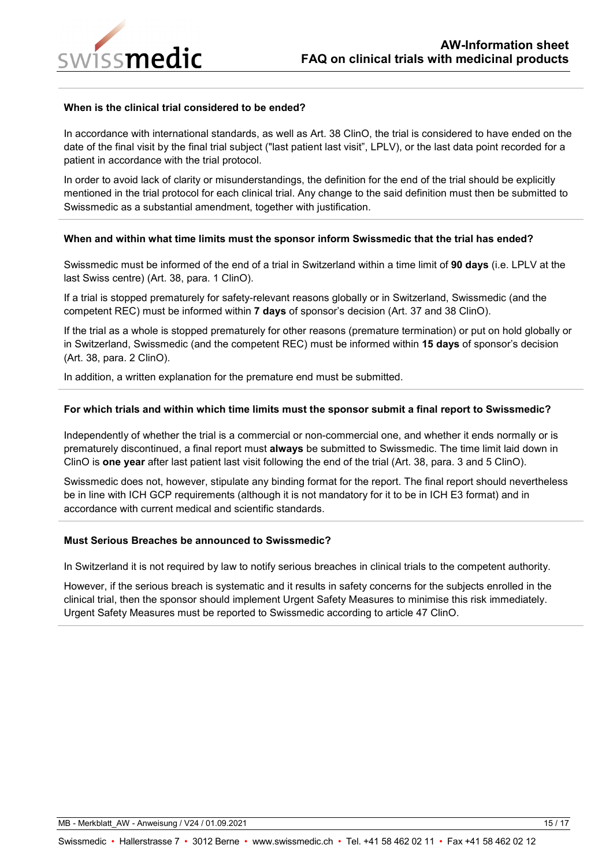

#### <span id="page-14-0"></span>**When is the clinical trial considered to be ended?**

In accordance with international standards, as well as Art. 38 ClinO, the trial is considered to have ended on the date of the final visit by the final trial subject ("last patient last visit", LPLV), or the last data point recorded for a patient in accordance with the trial protocol.

In order to avoid lack of clarity or misunderstandings, the definition for the end of the trial should be explicitly mentioned in the trial protocol for each clinical trial. Any change to the said definition must then be submitted to Swissmedic as a substantial amendment, together with justification.

#### <span id="page-14-1"></span>**When and within what time limits must the sponsor inform Swissmedic that the trial has ended?**

Swissmedic must be informed of the end of a trial in Switzerland within a time limit of **90 days** (i.e. LPLV at the last Swiss centre) (Art. 38, para. 1 ClinO).

If a trial is stopped prematurely for safety-relevant reasons globally or in Switzerland, Swissmedic (and the competent REC) must be informed within **7 days** of sponsor's decision (Art. 37 and 38 ClinO).

If the trial as a whole is stopped prematurely for other reasons (premature termination) or put on hold globally or in Switzerland, Swissmedic (and the competent REC) must be informed within **15 days** of sponsor's decision (Art. 38, para. 2 ClinO).

In addition, a written explanation for the premature end must be submitted.

#### <span id="page-14-2"></span>**For which trials and within which time limits must the sponsor submit a final report to Swissmedic?**

Independently of whether the trial is a commercial or non-commercial one, and whether it ends normally or is prematurely discontinued, a final report must **always** be submitted to Swissmedic. The time limit laid down in ClinO is **one year** after last patient last visit following the end of the trial (Art. 38, para. 3 and 5 ClinO).

Swissmedic does not, however, stipulate any binding format for the report. The final report should nevertheless be in line with ICH GCP requirements (although it is not mandatory for it to be in ICH E3 format) and in accordance with current medical and scientific standards.

## <span id="page-14-3"></span>**Must Serious Breaches be announced to Swissmedic?**

In Switzerland it is not required by law to notify serious breaches in clinical trials to the competent authority.

However, if the serious breach is systematic and it results in safety concerns for the subjects enrolled in the clinical trial, then the sponsor should implement Urgent Safety Measures to minimise this risk immediately. Urgent Safety Measures must be reported to Swissmedic according to article 47 ClinO.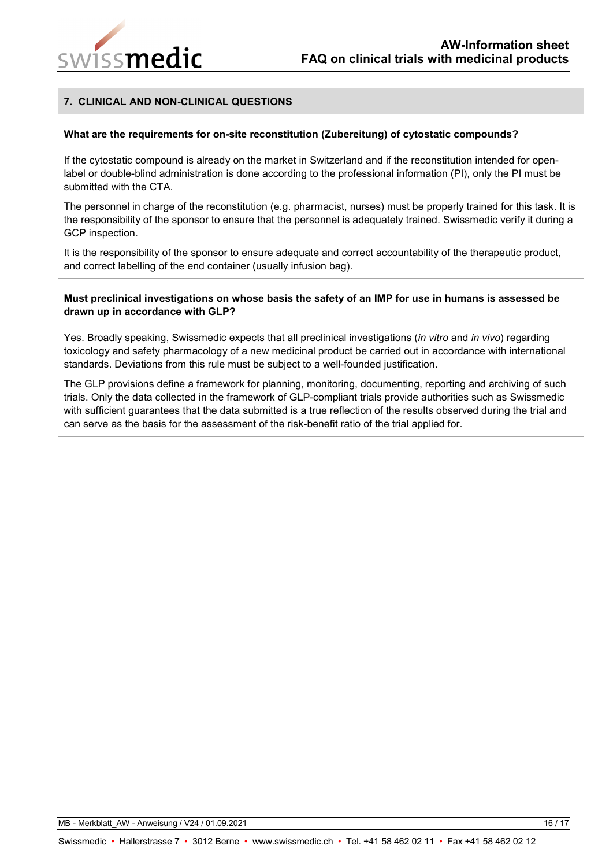

## <span id="page-15-0"></span>**7. CLINICAL AND NON-CLINICAL QUESTIONS**

#### <span id="page-15-1"></span>**What are the requirements for on-site reconstitution (Zubereitung) of cytostatic compounds?**

If the cytostatic compound is already on the market in Switzerland and if the reconstitution intended for openlabel or double-blind administration is done according to the professional information (PI), only the PI must be submitted with the CTA.

The personnel in charge of the reconstitution (e.g. pharmacist, nurses) must be properly trained for this task. It is the responsibility of the sponsor to ensure that the personnel is adequately trained. Swissmedic verify it during a GCP inspection.

It is the responsibility of the sponsor to ensure adequate and correct accountability of the therapeutic product, and correct labelling of the end container (usually infusion bag).

#### <span id="page-15-2"></span>**Must preclinical investigations on whose basis the safety of an IMP for use in humans is assessed be drawn up in accordance with GLP?**

Yes. Broadly speaking, Swissmedic expects that all preclinical investigations (*in vitro* and *in vivo*) regarding toxicology and safety pharmacology of a new medicinal product be carried out in accordance with international standards. Deviations from this rule must be subject to a well-founded justification.

The GLP provisions define a framework for planning, monitoring, documenting, reporting and archiving of such trials. Only the data collected in the framework of GLP-compliant trials provide authorities such as Swissmedic with sufficient guarantees that the data submitted is a true reflection of the results observed during the trial and can serve as the basis for the assessment of the risk-benefit ratio of the trial applied for.